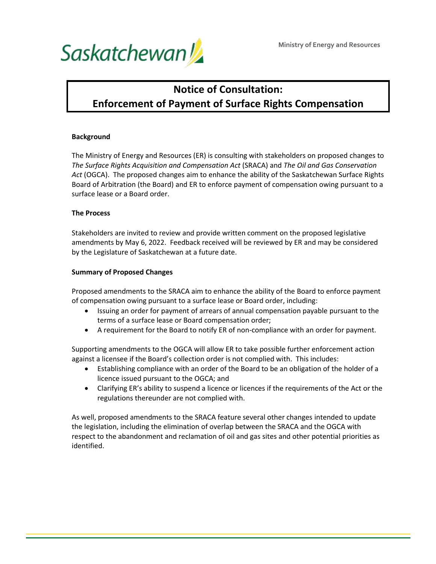

# **Notice of Consultation: Enforcement of Payment of Surface Rights Compensation**

#### **Background**

The Ministry of Energy and Resources (ER) is consulting with stakeholders on proposed changes to *The Surface Rights Acquisition and Compensation Act* (SRACA) and *The Oil and Gas Conservation Act* (OGCA). The proposed changes aim to enhance the ability of the Saskatchewan Surface Rights Board of Arbitration (the Board) and ER to enforce payment of compensation owing pursuant to a surface lease or a Board order.

#### **The Process**

Stakeholders are invited to review and provide written comment on the proposed legislative amendments by May 6, 2022. Feedback received will be reviewed by ER and may be considered by the Legislature of Saskatchewan at a future date.

#### **Summary of Proposed Changes**

Proposed amendments to the SRACA aim to enhance the ability of the Board to enforce payment of compensation owing pursuant to a surface lease or Board order, including:

- Issuing an order for payment of arrears of annual compensation payable pursuant to the terms of a surface lease or Board compensation order;
- A requirement for the Board to notify ER of non-compliance with an order for payment.

Supporting amendments to the OGCA will allow ER to take possible further enforcement action against a licensee if the Board's collection order is not complied with. This includes:

- Establishing compliance with an order of the Board to be an obligation of the holder of a licence issued pursuant to the OGCA; and
- Clarifying ER's ability to suspend a licence or licences if the requirements of the Act or the regulations thereunder are not complied with.

As well, proposed amendments to the SRACA feature several other changes intended to update the legislation, including the elimination of overlap between the SRACA and the OGCA with respect to the abandonment and reclamation of oil and gas sites and other potential priorities as identified.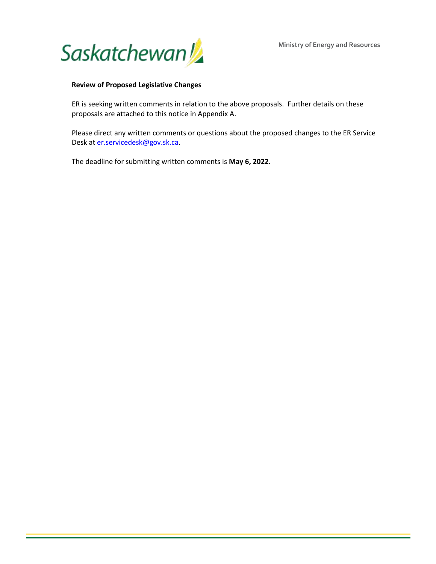**Ministry of Energy and Resources**



#### **Review of Proposed Legislative Changes**

ER is seeking written comments in relation to the above proposals. Further details on these proposals are attached to this notice in Appendix A.

Please direct any written comments or questions about the proposed changes to the ER Service Desk at [er.servicedesk@gov.sk.ca.](mailto:er.servicedesk@gov.sk.ca)

The deadline for submitting written comments is **May 6, 2022.**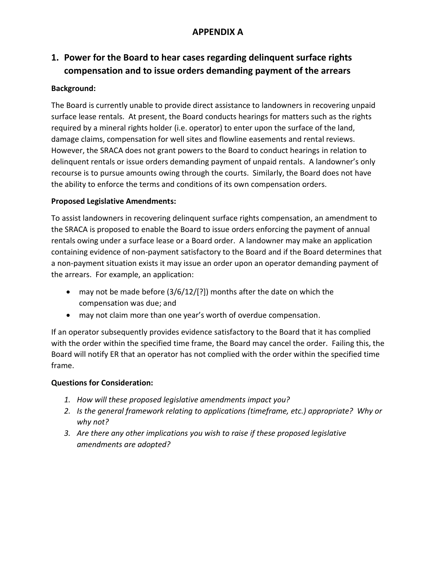## **APPENDIX A**

## **1. Power for the Board to hear cases regarding delinquent surface rights compensation and to issue orders demanding payment of the arrears**

### **Background:**

The Board is currently unable to provide direct assistance to landowners in recovering unpaid surface lease rentals. At present, the Board conducts hearings for matters such as the rights required by a mineral rights holder (i.e. operator) to enter upon the surface of the land, damage claims, compensation for well sites and flowline easements and rental reviews. However, the SRACA does not grant powers to the Board to conduct hearings in relation to delinquent rentals or issue orders demanding payment of unpaid rentals. A landowner's only recourse is to pursue amounts owing through the courts. Similarly, the Board does not have the ability to enforce the terms and conditions of its own compensation orders.

#### **Proposed Legislative Amendments:**

To assist landowners in recovering delinquent surface rights compensation, an amendment to the SRACA is proposed to enable the Board to issue orders enforcing the payment of annual rentals owing under a surface lease or a Board order. A landowner may make an application containing evidence of non-payment satisfactory to the Board and if the Board determines that a non-payment situation exists it may issue an order upon an operator demanding payment of the arrears. For example, an application:

- may not be made before (3/6/12/[?]) months after the date on which the compensation was due; and
- may not claim more than one year's worth of overdue compensation.

If an operator subsequently provides evidence satisfactory to the Board that it has complied with the order within the specified time frame, the Board may cancel the order. Failing this, the Board will notify ER that an operator has not complied with the order within the specified time frame.

#### **Questions for Consideration:**

- *1. How will these proposed legislative amendments impact you?*
- *2. Is the general framework relating to applications (timeframe, etc.) appropriate? Why or why not?*
- *3. Are there any other implications you wish to raise if these proposed legislative amendments are adopted?*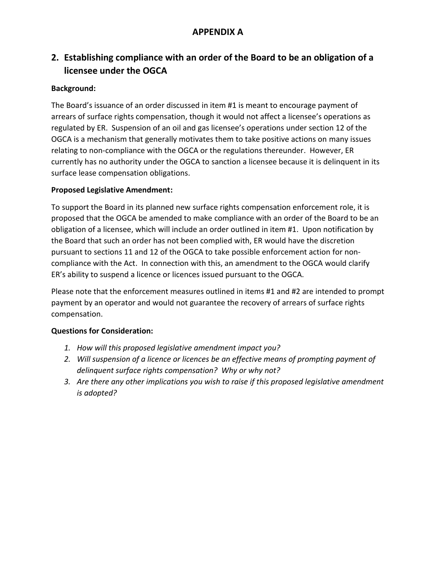## **APPENDIX A**

## **2. Establishing compliance with an order of the Board to be an obligation of a licensee under the OGCA**

### **Background:**

The Board's issuance of an order discussed in item #1 is meant to encourage payment of arrears of surface rights compensation, though it would not affect a licensee's operations as regulated by ER. Suspension of an oil and gas licensee's operations under section 12 of the OGCA is a mechanism that generally motivates them to take positive actions on many issues relating to non-compliance with the OGCA or the regulations thereunder. However, ER currently has no authority under the OGCA to sanction a licensee because it is delinquent in its surface lease compensation obligations.

### **Proposed Legislative Amendment:**

To support the Board in its planned new surface rights compensation enforcement role, it is proposed that the OGCA be amended to make compliance with an order of the Board to be an obligation of a licensee, which will include an order outlined in item #1. Upon notification by the Board that such an order has not been complied with, ER would have the discretion pursuant to sections 11 and 12 of the OGCA to take possible enforcement action for noncompliance with the Act. In connection with this, an amendment to the OGCA would clarify ER's ability to suspend a licence or licences issued pursuant to the OGCA.

Please note that the enforcement measures outlined in items #1 and #2 are intended to prompt payment by an operator and would not guarantee the recovery of arrears of surface rights compensation.

### **Questions for Consideration:**

- *1. How will this proposed legislative amendment impact you?*
- *2. Will suspension of a licence or licences be an effective means of prompting payment of delinquent surface rights compensation? Why or why not?*
- *3. Are there any other implications you wish to raise if this proposed legislative amendment is adopted?*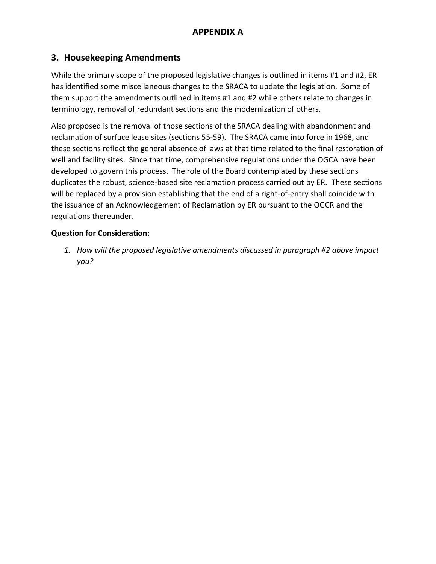### **3. Housekeeping Amendments**

While the primary scope of the proposed legislative changes is outlined in items #1 and #2, ER has identified some miscellaneous changes to the SRACA to update the legislation. Some of them support the amendments outlined in items #1 and #2 while others relate to changes in terminology, removal of redundant sections and the modernization of others.

Also proposed is the removal of those sections of the SRACA dealing with abandonment and reclamation of surface lease sites (sections 55-59). The SRACA came into force in 1968, and these sections reflect the general absence of laws at that time related to the final restoration of well and facility sites. Since that time, comprehensive regulations under the OGCA have been developed to govern this process. The role of the Board contemplated by these sections duplicates the robust, science-based site reclamation process carried out by ER. These sections will be replaced by a provision establishing that the end of a right-of-entry shall coincide with the issuance of an Acknowledgement of Reclamation by ER pursuant to the OGCR and the regulations thereunder.

### **Question for Consideration:**

*1. How will the proposed legislative amendments discussed in paragraph #2 above impact you?*